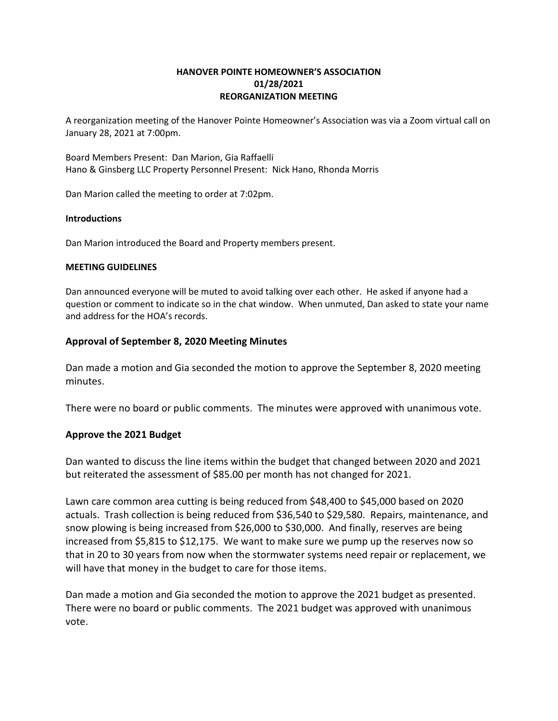### HANOVER POINTE HOMEOWNER'S ASSOCIATION 01/28/2021 REORGANIZATION MEETING

A reorganization meeting of the Hanover Pointe Homeowner's Association was via a Zoom virtual call on January 28, 2021 at 7:00pm.

Board Members Present: Dan Marion, Gia Raffaelli Hano & Ginsberg LLC Property Personnel Present: Nick Hano, Rhonda Morris

Dan Marion called the meeting to order at 7:02pm.

#### Introductions

Dan Marion introduced the Board and Property members present.

#### MEETING GUIDELINES

Dan announced everyone will be muted to avoid talking over each other. He asked if anyone had a question or comment to indicate so in the chat window. When unmuted, Dan asked to state your name and address for the HOA's records.

#### Approval of September 8, 2020 Meeting Minutes

Dan made a motion and Gia seconded the motion to approve the September 8, 2020 meeting minutes.

There were no board or public comments. The minutes were approved with unanimous vote.

#### Approve the 2021 Budget

Dan wanted to discuss the line items within the budget that changed between 2020 and 2021 but reiterated the assessment of \$85.00 per month has not changed for 2021.

Lawn care common area cutting is being reduced from \$48,400 to \$45,000 based on 2020 actuals. Trash collection is being reduced from \$36,540 to \$29,580. Repairs, maintenance, and snow plowing is being increased from \$26,000 to \$30,000. And finally, reserves are being increased from \$5,815 to \$12,175. We want to make sure we pump up the reserves now so that in 20 to 30 years from now when the stormwater systems need repair or replacement, we will have that money in the budget to care for those items.

Dan made a motion and Gia seconded the motion to approve the 2021 budget as presented. There were no board or public comments. The 2021 budget was approved with unanimous vote.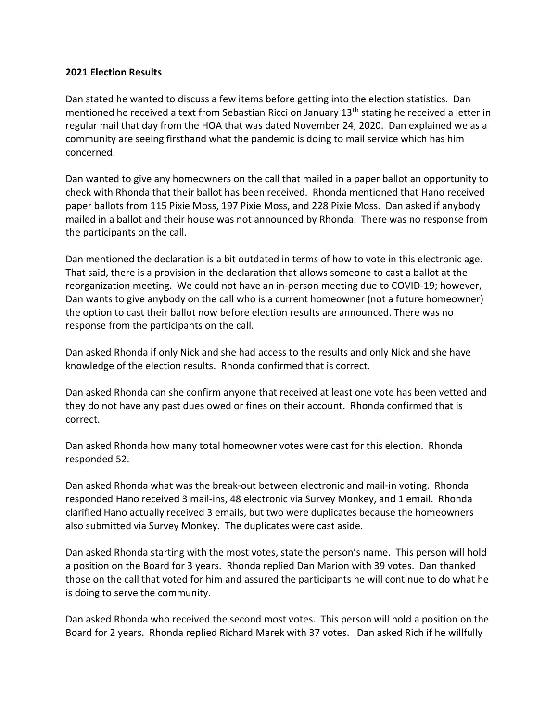# 2021 Election Results

Dan stated he wanted to discuss a few items before getting into the election statistics. Dan mentioned he received a text from Sebastian Ricci on January 13<sup>th</sup> stating he received a letter in regular mail that day from the HOA that was dated November 24, 2020. Dan explained we as a community are seeing firsthand what the pandemic is doing to mail service which has him concerned.

Dan wanted to give any homeowners on the call that mailed in a paper ballot an opportunity to check with Rhonda that their ballot has been received. Rhonda mentioned that Hano received paper ballots from 115 Pixie Moss, 197 Pixie Moss, and 228 Pixie Moss. Dan asked if anybody mailed in a ballot and their house was not announced by Rhonda. There was no response from the participants on the call.

Dan mentioned the declaration is a bit outdated in terms of how to vote in this electronic age. That said, there is a provision in the declaration that allows someone to cast a ballot at the reorganization meeting. We could not have an in-person meeting due to COVID-19; however, Dan wants to give anybody on the call who is a current homeowner (not a future homeowner) the option to cast their ballot now before election results are announced. There was no response from the participants on the call.

Dan asked Rhonda if only Nick and she had access to the results and only Nick and she have knowledge of the election results. Rhonda confirmed that is correct.

Dan asked Rhonda can she confirm anyone that received at least one vote has been vetted and they do not have any past dues owed or fines on their account. Rhonda confirmed that is correct.

Dan asked Rhonda how many total homeowner votes were cast for this election. Rhonda responded 52.

Dan asked Rhonda what was the break-out between electronic and mail-in voting. Rhonda responded Hano received 3 mail-ins, 48 electronic via Survey Monkey, and 1 email. Rhonda clarified Hano actually received 3 emails, but two were duplicates because the homeowners also submitted via Survey Monkey. The duplicates were cast aside.

Dan asked Rhonda starting with the most votes, state the person's name. This person will hold a position on the Board for 3 years. Rhonda replied Dan Marion with 39 votes. Dan thanked those on the call that voted for him and assured the participants he will continue to do what he is doing to serve the community.

Dan asked Rhonda who received the second most votes. This person will hold a position on the Board for 2 years. Rhonda replied Richard Marek with 37 votes. Dan asked Rich if he willfully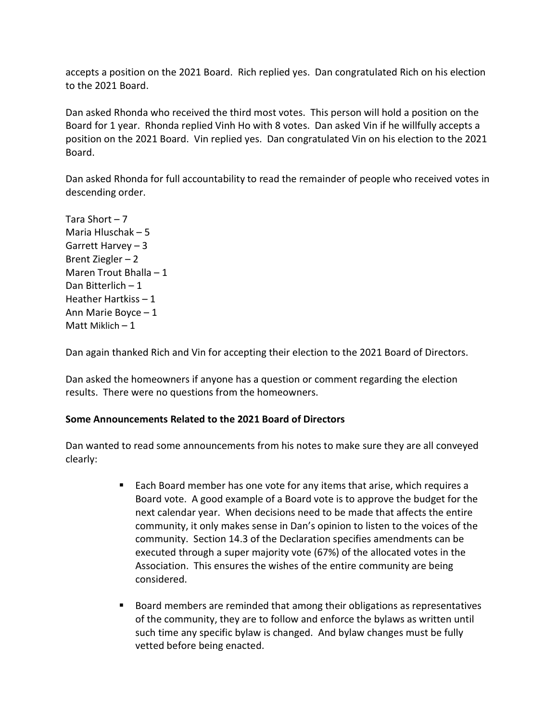accepts a position on the 2021 Board. Rich replied yes. Dan congratulated Rich on his election to the 2021 Board.

Dan asked Rhonda who received the third most votes. This person will hold a position on the Board for 1 year. Rhonda replied Vinh Ho with 8 votes. Dan asked Vin if he willfully accepts a position on the 2021 Board. Vin replied yes. Dan congratulated Vin on his election to the 2021 Board.

Dan asked Rhonda for full accountability to read the remainder of people who received votes in descending order.

Tara Short – 7 Maria Hluschak – 5 Garrett Harvey – 3 Brent Ziegler – 2 Maren Trout Bhalla – 1 Dan Bitterlich – 1 Heather Hartkiss – 1 Ann Marie Boyce – 1 Matt Miklich  $-1$ 

Dan again thanked Rich and Vin for accepting their election to the 2021 Board of Directors.

Dan asked the homeowners if anyone has a question or comment regarding the election results. There were no questions from the homeowners.

# Some Announcements Related to the 2021 Board of Directors

Dan wanted to read some announcements from his notes to make sure they are all conveyed clearly:

- Each Board member has one vote for any items that arise, which requires a Board vote. A good example of a Board vote is to approve the budget for the next calendar year. When decisions need to be made that affects the entire community, it only makes sense in Dan's opinion to listen to the voices of the community. Section 14.3 of the Declaration specifies amendments can be executed through a super majority vote (67%) of the allocated votes in the Association. This ensures the wishes of the entire community are being considered.
- **Board members are reminded that among their obligations as representatives** of the community, they are to follow and enforce the bylaws as written until such time any specific bylaw is changed. And bylaw changes must be fully vetted before being enacted.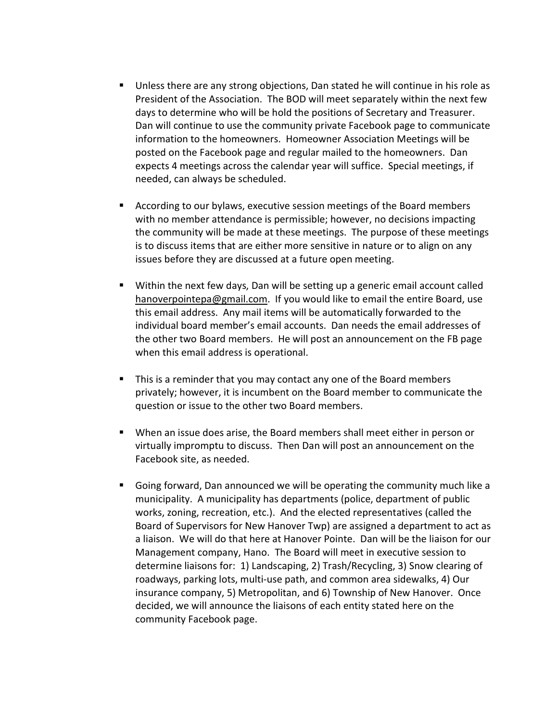- Unless there are any strong objections, Dan stated he will continue in his role as President of the Association. The BOD will meet separately within the next few days to determine who will be hold the positions of Secretary and Treasurer. Dan will continue to use the community private Facebook page to communicate information to the homeowners. Homeowner Association Meetings will be posted on the Facebook page and regular mailed to the homeowners. Dan expects 4 meetings across the calendar year will suffice. Special meetings, if needed, can always be scheduled.
- According to our bylaws, executive session meetings of the Board members with no member attendance is permissible; however, no decisions impacting the community will be made at these meetings. The purpose of these meetings is to discuss items that are either more sensitive in nature or to align on any issues before they are discussed at a future open meeting.
- Within the next few days, Dan will be setting up a generic email account called hanoverpointepa@gmail.com. If you would like to email the entire Board, use this email address. Any mail items will be automatically forwarded to the individual board member's email accounts. Dan needs the email addresses of the other two Board members. He will post an announcement on the FB page when this email address is operational.
- This is a reminder that you may contact any one of the Board members privately; however, it is incumbent on the Board member to communicate the question or issue to the other two Board members.
- When an issue does arise, the Board members shall meet either in person or virtually impromptu to discuss. Then Dan will post an announcement on the Facebook site, as needed.
- Going forward, Dan announced we will be operating the community much like a municipality. A municipality has departments (police, department of public works, zoning, recreation, etc.). And the elected representatives (called the Board of Supervisors for New Hanover Twp) are assigned a department to act as a liaison. We will do that here at Hanover Pointe. Dan will be the liaison for our Management company, Hano. The Board will meet in executive session to determine liaisons for: 1) Landscaping, 2) Trash/Recycling, 3) Snow clearing of roadways, parking lots, multi-use path, and common area sidewalks, 4) Our insurance company, 5) Metropolitan, and 6) Township of New Hanover. Once decided, we will announce the liaisons of each entity stated here on the community Facebook page.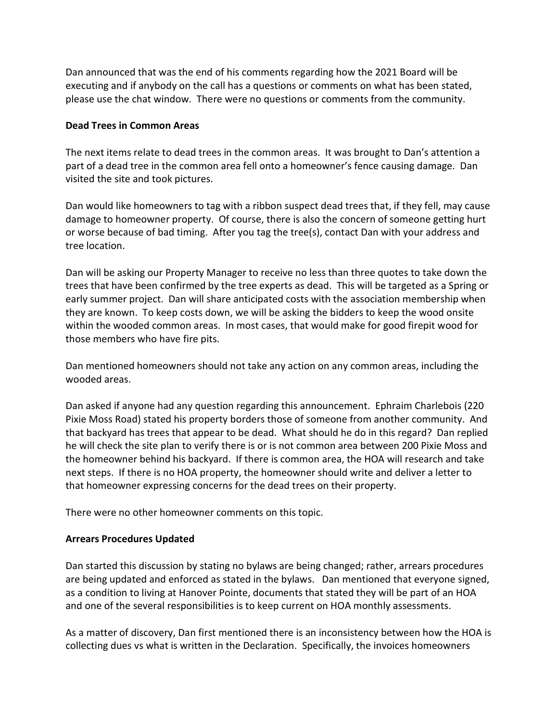Dan announced that was the end of his comments regarding how the 2021 Board will be executing and if anybody on the call has a questions or comments on what has been stated, please use the chat window. There were no questions or comments from the community.

# Dead Trees in Common Areas

The next items relate to dead trees in the common areas. It was brought to Dan's attention a part of a dead tree in the common area fell onto a homeowner's fence causing damage. Dan visited the site and took pictures.

Dan would like homeowners to tag with a ribbon suspect dead trees that, if they fell, may cause damage to homeowner property. Of course, there is also the concern of someone getting hurt or worse because of bad timing. After you tag the tree(s), contact Dan with your address and tree location.

Dan will be asking our Property Manager to receive no less than three quotes to take down the trees that have been confirmed by the tree experts as dead. This will be targeted as a Spring or early summer project. Dan will share anticipated costs with the association membership when they are known. To keep costs down, we will be asking the bidders to keep the wood onsite within the wooded common areas. In most cases, that would make for good firepit wood for those members who have fire pits.

Dan mentioned homeowners should not take any action on any common areas, including the wooded areas.

Dan asked if anyone had any question regarding this announcement. Ephraim Charlebois (220 Pixie Moss Road) stated his property borders those of someone from another community. And that backyard has trees that appear to be dead. What should he do in this regard? Dan replied he will check the site plan to verify there is or is not common area between 200 Pixie Moss and the homeowner behind his backyard. If there is common area, the HOA will research and take next steps. If there is no HOA property, the homeowner should write and deliver a letter to that homeowner expressing concerns for the dead trees on their property.

There were no other homeowner comments on this topic.

# Arrears Procedures Updated

Dan started this discussion by stating no bylaws are being changed; rather, arrears procedures are being updated and enforced as stated in the bylaws. Dan mentioned that everyone signed, as a condition to living at Hanover Pointe, documents that stated they will be part of an HOA and one of the several responsibilities is to keep current on HOA monthly assessments.

As a matter of discovery, Dan first mentioned there is an inconsistency between how the HOA is collecting dues vs what is written in the Declaration. Specifically, the invoices homeowners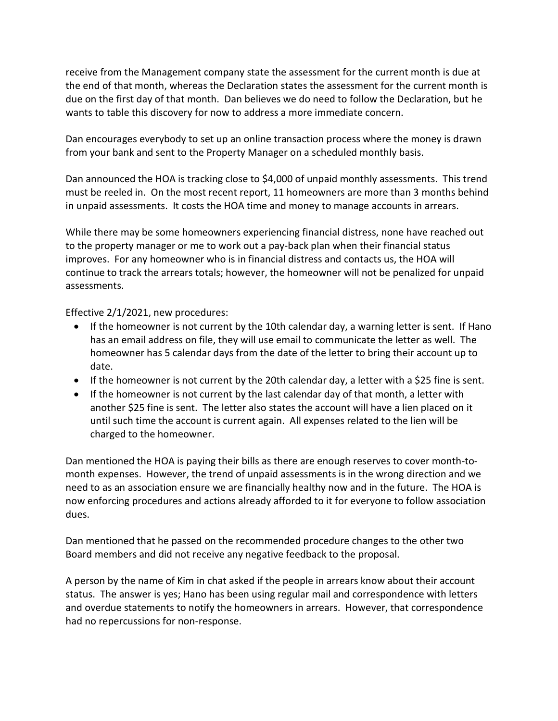receive from the Management company state the assessment for the current month is due at the end of that month, whereas the Declaration states the assessment for the current month is due on the first day of that month. Dan believes we do need to follow the Declaration, but he wants to table this discovery for now to address a more immediate concern.

Dan encourages everybody to set up an online transaction process where the money is drawn from your bank and sent to the Property Manager on a scheduled monthly basis.

Dan announced the HOA is tracking close to \$4,000 of unpaid monthly assessments. This trend must be reeled in. On the most recent report, 11 homeowners are more than 3 months behind in unpaid assessments. It costs the HOA time and money to manage accounts in arrears.

While there may be some homeowners experiencing financial distress, none have reached out to the property manager or me to work out a pay-back plan when their financial status improves. For any homeowner who is in financial distress and contacts us, the HOA will continue to track the arrears totals; however, the homeowner will not be penalized for unpaid assessments.

Effective 2/1/2021, new procedures:

- If the homeowner is not current by the 10th calendar day, a warning letter is sent. If Hano has an email address on file, they will use email to communicate the letter as well. The homeowner has 5 calendar days from the date of the letter to bring their account up to date.
- If the homeowner is not current by the 20th calendar day, a letter with a \$25 fine is sent.
- If the homeowner is not current by the last calendar day of that month, a letter with another \$25 fine is sent. The letter also states the account will have a lien placed on it until such time the account is current again. All expenses related to the lien will be charged to the homeowner.

Dan mentioned the HOA is paying their bills as there are enough reserves to cover month-tomonth expenses. However, the trend of unpaid assessments is in the wrong direction and we need to as an association ensure we are financially healthy now and in the future. The HOA is now enforcing procedures and actions already afforded to it for everyone to follow association dues.

Dan mentioned that he passed on the recommended procedure changes to the other two Board members and did not receive any negative feedback to the proposal.

A person by the name of Kim in chat asked if the people in arrears know about their account status. The answer is yes; Hano has been using regular mail and correspondence with letters and overdue statements to notify the homeowners in arrears. However, that correspondence had no repercussions for non-response.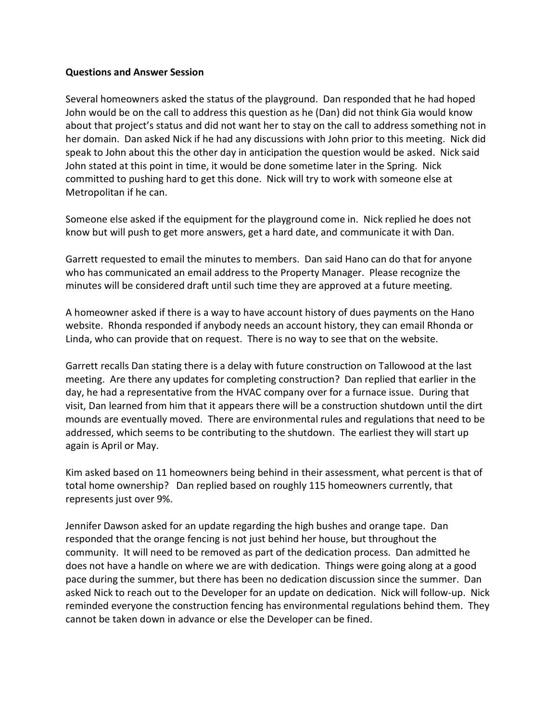### Questions and Answer Session

Several homeowners asked the status of the playground. Dan responded that he had hoped John would be on the call to address this question as he (Dan) did not think Gia would know about that project's status and did not want her to stay on the call to address something not in her domain. Dan asked Nick if he had any discussions with John prior to this meeting. Nick did speak to John about this the other day in anticipation the question would be asked. Nick said John stated at this point in time, it would be done sometime later in the Spring. Nick committed to pushing hard to get this done. Nick will try to work with someone else at Metropolitan if he can.

Someone else asked if the equipment for the playground come in. Nick replied he does not know but will push to get more answers, get a hard date, and communicate it with Dan.

Garrett requested to email the minutes to members. Dan said Hano can do that for anyone who has communicated an email address to the Property Manager. Please recognize the minutes will be considered draft until such time they are approved at a future meeting.

A homeowner asked if there is a way to have account history of dues payments on the Hano website. Rhonda responded if anybody needs an account history, they can email Rhonda or Linda, who can provide that on request. There is no way to see that on the website.

Garrett recalls Dan stating there is a delay with future construction on Tallowood at the last meeting. Are there any updates for completing construction? Dan replied that earlier in the day, he had a representative from the HVAC company over for a furnace issue. During that visit, Dan learned from him that it appears there will be a construction shutdown until the dirt mounds are eventually moved. There are environmental rules and regulations that need to be addressed, which seems to be contributing to the shutdown. The earliest they will start up again is April or May.

Kim asked based on 11 homeowners being behind in their assessment, what percent is that of total home ownership? Dan replied based on roughly 115 homeowners currently, that represents just over 9%.

Jennifer Dawson asked for an update regarding the high bushes and orange tape. Dan responded that the orange fencing is not just behind her house, but throughout the community. It will need to be removed as part of the dedication process. Dan admitted he does not have a handle on where we are with dedication. Things were going along at a good pace during the summer, but there has been no dedication discussion since the summer. Dan asked Nick to reach out to the Developer for an update on dedication. Nick will follow-up. Nick reminded everyone the construction fencing has environmental regulations behind them. They cannot be taken down in advance or else the Developer can be fined.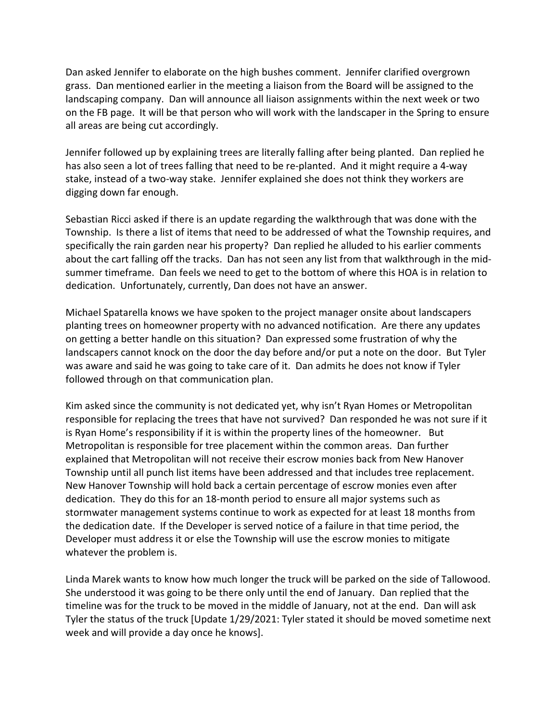Dan asked Jennifer to elaborate on the high bushes comment. Jennifer clarified overgrown grass. Dan mentioned earlier in the meeting a liaison from the Board will be assigned to the landscaping company. Dan will announce all liaison assignments within the next week or two on the FB page. It will be that person who will work with the landscaper in the Spring to ensure all areas are being cut accordingly.

Jennifer followed up by explaining trees are literally falling after being planted. Dan replied he has also seen a lot of trees falling that need to be re-planted. And it might require a 4-way stake, instead of a two-way stake. Jennifer explained she does not think they workers are digging down far enough.

Sebastian Ricci asked if there is an update regarding the walkthrough that was done with the Township. Is there a list of items that need to be addressed of what the Township requires, and specifically the rain garden near his property? Dan replied he alluded to his earlier comments about the cart falling off the tracks. Dan has not seen any list from that walkthrough in the midsummer timeframe. Dan feels we need to get to the bottom of where this HOA is in relation to dedication. Unfortunately, currently, Dan does not have an answer.

Michael Spatarella knows we have spoken to the project manager onsite about landscapers planting trees on homeowner property with no advanced notification. Are there any updates on getting a better handle on this situation? Dan expressed some frustration of why the landscapers cannot knock on the door the day before and/or put a note on the door. But Tyler was aware and said he was going to take care of it. Dan admits he does not know if Tyler followed through on that communication plan.

Kim asked since the community is not dedicated yet, why isn't Ryan Homes or Metropolitan responsible for replacing the trees that have not survived? Dan responded he was not sure if it is Ryan Home's responsibility if it is within the property lines of the homeowner. But Metropolitan is responsible for tree placement within the common areas. Dan further explained that Metropolitan will not receive their escrow monies back from New Hanover Township until all punch list items have been addressed and that includes tree replacement. New Hanover Township will hold back a certain percentage of escrow monies even after dedication. They do this for an 18-month period to ensure all major systems such as stormwater management systems continue to work as expected for at least 18 months from the dedication date. If the Developer is served notice of a failure in that time period, the Developer must address it or else the Township will use the escrow monies to mitigate whatever the problem is.

Linda Marek wants to know how much longer the truck will be parked on the side of Tallowood. She understood it was going to be there only until the end of January. Dan replied that the timeline was for the truck to be moved in the middle of January, not at the end. Dan will ask Tyler the status of the truck [Update 1/29/2021: Tyler stated it should be moved sometime next week and will provide a day once he knows].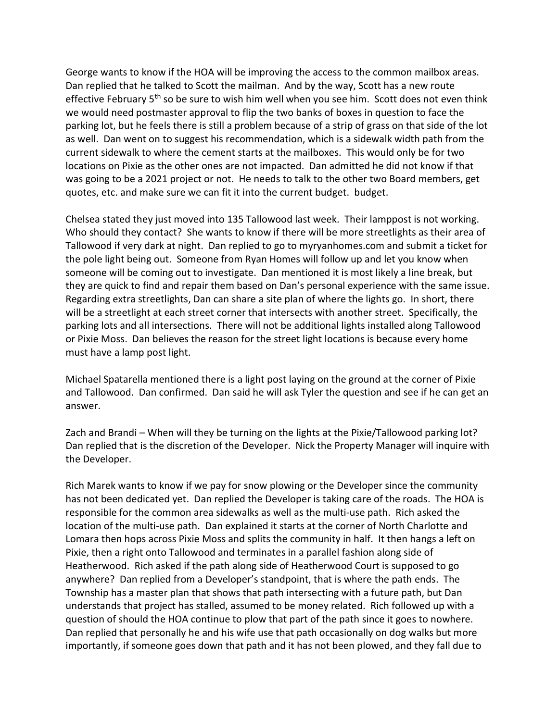George wants to know if the HOA will be improving the access to the common mailbox areas. Dan replied that he talked to Scott the mailman. And by the way, Scott has a new route effective February  $5<sup>th</sup>$  so be sure to wish him well when you see him. Scott does not even think we would need postmaster approval to flip the two banks of boxes in question to face the parking lot, but he feels there is still a problem because of a strip of grass on that side of the lot as well. Dan went on to suggest his recommendation, which is a sidewalk width path from the current sidewalk to where the cement starts at the mailboxes. This would only be for two locations on Pixie as the other ones are not impacted. Dan admitted he did not know if that was going to be a 2021 project or not. He needs to talk to the other two Board members, get quotes, etc. and make sure we can fit it into the current budget. budget.

Chelsea stated they just moved into 135 Tallowood last week. Their lamppost is not working. Who should they contact? She wants to know if there will be more streetlights as their area of Tallowood if very dark at night. Dan replied to go to myryanhomes.com and submit a ticket for the pole light being out. Someone from Ryan Homes will follow up and let you know when someone will be coming out to investigate. Dan mentioned it is most likely a line break, but they are quick to find and repair them based on Dan's personal experience with the same issue. Regarding extra streetlights, Dan can share a site plan of where the lights go. In short, there will be a streetlight at each street corner that intersects with another street. Specifically, the parking lots and all intersections. There will not be additional lights installed along Tallowood or Pixie Moss. Dan believes the reason for the street light locations is because every home must have a lamp post light.

Michael Spatarella mentioned there is a light post laying on the ground at the corner of Pixie and Tallowood. Dan confirmed. Dan said he will ask Tyler the question and see if he can get an answer.

Zach and Brandi – When will they be turning on the lights at the Pixie/Tallowood parking lot? Dan replied that is the discretion of the Developer. Nick the Property Manager will inquire with the Developer.

Rich Marek wants to know if we pay for snow plowing or the Developer since the community has not been dedicated yet. Dan replied the Developer is taking care of the roads. The HOA is responsible for the common area sidewalks as well as the multi-use path. Rich asked the location of the multi-use path. Dan explained it starts at the corner of North Charlotte and Lomara then hops across Pixie Moss and splits the community in half. It then hangs a left on Pixie, then a right onto Tallowood and terminates in a parallel fashion along side of Heatherwood. Rich asked if the path along side of Heatherwood Court is supposed to go anywhere? Dan replied from a Developer's standpoint, that is where the path ends. The Township has a master plan that shows that path intersecting with a future path, but Dan understands that project has stalled, assumed to be money related. Rich followed up with a question of should the HOA continue to plow that part of the path since it goes to nowhere. Dan replied that personally he and his wife use that path occasionally on dog walks but more importantly, if someone goes down that path and it has not been plowed, and they fall due to